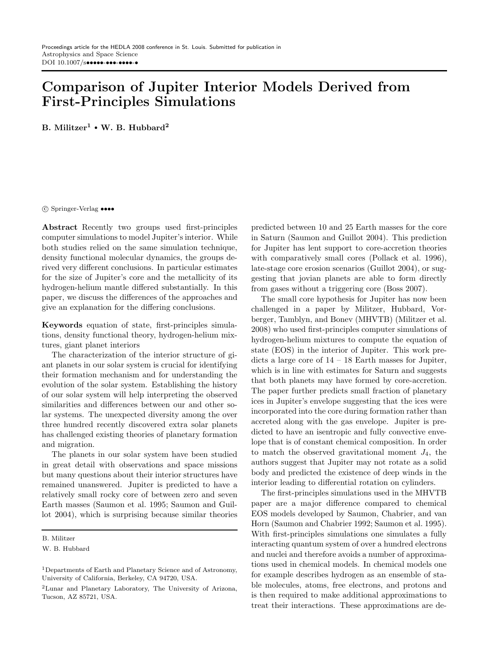# Comparison of Jupiter Interior Models Derived from First-Principles Simulations

B. Militzer<sup>1</sup> • W. B. Hubbard<sup>2</sup>

c Springer-Verlag ••••

Abstract Recently two groups used first-principles computer simulations to model Jupiter's interior. While both studies relied on the same simulation technique, density functional molecular dynamics, the groups derived very different conclusions. In particular estimates for the size of Jupiter's core and the metallicity of its hydrogen-helium mantle differed substantially. In this paper, we discuss the differences of the approaches and give an explanation for the differing conclusions.

Keywords equation of state, first-principles simulations, density functional theory, hydrogen-helium mixtures, giant planet interiors

The characterization of the interior structure of giant planets in our solar system is crucial for identifying their formation mechanism and for understanding the evolution of the solar system. Establishing the history of our solar system will help interpreting the observed similarities and differences between our and other solar systems. The unexpected diversity among the over three hundred recently discovered extra solar planets has challenged existing theories of planetary formation and migration.

The planets in our solar system have been studied in great detail with observations and space missions but many questions about their interior structures have remained unanswered. Jupiter is predicted to have a relatively small rocky core of between zero and seven Earth masses (Saumon et al. 1995; Saumon and Guillot 2004), which is surprising because similar theories predicted between 10 and 25 Earth masses for the core in Saturn (Saumon and Guillot 2004). This prediction for Jupiter has lent support to core-accretion theories with comparatively small cores (Pollack et al. 1996), late-stage core erosion scenarios (Guillot 2004), or suggesting that jovian planets are able to form directly from gases without a triggering core (Boss 2007).

The small core hypothesis for Jupiter has now been challenged in a paper by Militzer, Hubbard, Vorberger, Tamblyn, and Bonev (MHVTB) (Militzer et al. 2008) who used first-principles computer simulations of hydrogen-helium mixtures to compute the equation of state (EOS) in the interior of Jupiter. This work predicts a large core of  $14 - 18$  Earth masses for Jupiter, which is in line with estimates for Saturn and suggests that both planets may have formed by core-accretion. The paper further predicts small fraction of planetary ices in Jupiter's envelope suggesting that the ices were incorporated into the core during formation rather than accreted along with the gas envelope. Jupiter is predicted to have an isentropic and fully convective envelope that is of constant chemical composition. In order to match the observed gravitational moment  $J_4$ , the authors suggest that Jupiter may not rotate as a solid body and predicted the existence of deep winds in the interior leading to differential rotation on cylinders.

The first-principles simulations used in the MHVTB paper are a major difference compared to chemical EOS models developed by Saumon, Chabrier, and van Horn (Saumon and Chabrier 1992; Saumon et al. 1995). With first-principles simulations one simulates a fully interacting quantum system of over a hundred electrons and nuclei and therefore avoids a number of approximations used in chemical models. In chemical models one for example describes hydrogen as an ensemble of stable molecules, atoms, free electrons, and protons and is then required to make additional approximations to treat their interactions. These approximations are de-

B. Militzer

W. B. Hubbard

<sup>1</sup>Departments of Earth and Planetary Science and of Astronomy, University of California, Berkeley, CA 94720, USA.

<sup>2</sup>Lunar and Planetary Laboratory, The University of Arizona, Tucson, AZ 85721, USA.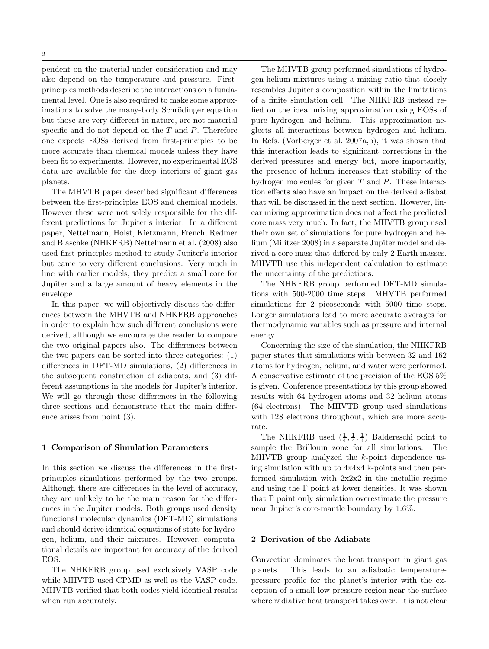pendent on the material under consideration and may also depend on the temperature and pressure. Firstprinciples methods describe the interactions on a fundamental level. One is also required to make some approximations to solve the many-body Schrödinger equation but those are very different in nature, are not material specific and do not depend on the  $T$  and  $P$ . Therefore one expects EOSs derived from first-principles to be more accurate than chemical models unless they have been fit to experiments. However, no experimental EOS data are available for the deep interiors of giant gas planets.

The MHVTB paper described significant differences between the first-principles EOS and chemical models. However these were not solely responsible for the different predictions for Jupiter's interior. In a different paper, Nettelmann, Holst, Kietzmann, French, Redmer and Blaschke (NHKFRB) Nettelmann et al. (2008) also used first-principles method to study Jupiter's interior but came to very different conclusions. Very much in line with earlier models, they predict a small core for Jupiter and a large amount of heavy elements in the envelope.

In this paper, we will objectively discuss the differences between the MHVTB and NHKFRB approaches in order to explain how such different conclusions were derived, although we encourage the reader to compare the two original papers also. The differences between the two papers can be sorted into three categories: (1) differences in DFT-MD simulations, (2) differences in the subsequent construction of adiabats, and (3) different assumptions in the models for Jupiter's interior. We will go through these differences in the following three sections and demonstrate that the main difference arises from point (3).

#### 1 Comparison of Simulation Parameters

In this section we discuss the differences in the firstprinciples simulations performed by the two groups. Although there are differences in the level of accuracy, they are unlikely to be the main reason for the differences in the Jupiter models. Both groups used density functional molecular dynamics (DFT-MD) simulations and should derive identical equations of state for hydrogen, helium, and their mixtures. However, computational details are important for accuracy of the derived EOS.

The NHKFRB group used exclusively VASP code while MHVTB used CPMD as well as the VASP code. MHVTB verified that both codes yield identical results when run accurately.

The MHVTB group performed simulations of hydrogen-helium mixtures using a mixing ratio that closely resembles Jupiter's composition within the limitations of a finite simulation cell. The NHKFRB instead relied on the ideal mixing approximation using EOSs of pure hydrogen and helium. This approximation neglects all interactions between hydrogen and helium. In Refs. (Vorberger et al. 2007a,b), it was shown that this interaction leads to significant corrections in the derived pressures and energy but, more importantly, the presence of helium increases that stability of the hydrogen molecules for given  $T$  and  $P$ . These interaction effects also have an impact on the derived adiabat that will be discussed in the next section. However, linear mixing approximation does not affect the predicted core mass very much. In fact, the MHVTB group used their own set of simulations for pure hydrogen and helium (Militzer 2008) in a separate Jupiter model and derived a core mass that differed by only 2 Earth masses. MHVTB use this independent calculation to estimate the uncertainty of the predictions.

The NHKFRB group performed DFT-MD simulations with 500-2000 time steps. MHVTB performed simulations for 2 picoseconds with 5000 time steps. Longer simulations lead to more accurate averages for thermodynamic variables such as pressure and internal energy.

Concerning the size of the simulation, the NHKFRB paper states that simulations with between 32 and 162 atoms for hydrogen, helium, and water were performed. A conservative estimate of the precision of the EOS 5% is given. Conference presentations by this group showed results with 64 hydrogen atoms and 32 helium atoms (64 electrons). The MHVTB group used simulations with  $128$  electrons throughout, which are more accurate.

The NHKFRB used  $(\frac{1}{4}, \frac{1}{4}, \frac{1}{4})$  Baldereschi point to sample the Brillouin zone for all simulations. The MHVTB group analyzed the k-point dependence using simulation with up to 4x4x4 k-points and then performed simulation with 2x2x2 in the metallic regime and using the  $\Gamma$  point at lower densities. It was shown that Γ point only simulation overestimate the pressure near Jupiter's core-mantle boundary by 1.6%.

## 2 Derivation of the Adiabats

Convection dominates the heat transport in giant gas planets. This leads to an adiabatic temperaturepressure profile for the planet's interior with the exception of a small low pressure region near the surface where radiative heat transport takes over. It is not clear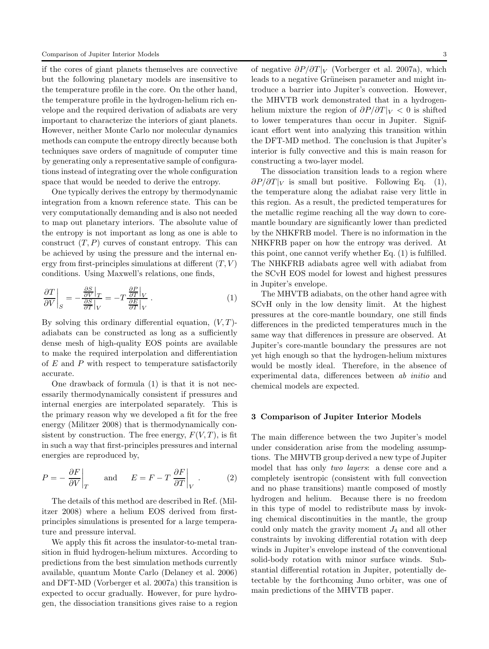if the cores of giant planets themselves are convective but the following planetary models are insensitive to the temperature profile in the core. On the other hand, the temperature profile in the hydrogen-helium rich envelope and the required derivation of adiabats are very important to characterize the interiors of giant planets. However, neither Monte Carlo nor molecular dynamics methods can compute the entropy directly because both techniques save orders of magnitude of computer time by generating only a representative sample of configurations instead of integrating over the whole configuration space that would be needed to derive the entropy.

One typically derives the entropy by thermodynamic integration from a known reference state. This can be very computationally demanding and is also not needed to map out planetary interiors. The absolute value of the entropy is not important as long as one is able to construct  $(T, P)$  curves of constant entropy. This can be achieved by using the pressure and the internal energy from first-principles simulations at different  $(T, V)$ conditions. Using Maxwell's relations, one finds,

$$
\left. \frac{\partial T}{\partial V} \right|_{S} = -\frac{\frac{\partial S}{\partial V}|_{T}}{\frac{\partial S}{\partial T}|_{V}} = -T \frac{\frac{\partial P}{\partial T}|_{V}}{\frac{\partial E}{\partial T}|_{V}}.
$$
\n(1)

By solving this ordinary differential equation,  $(V, T)$ adiabats can be constructed as long as a sufficiently dense mesh of high-quality EOS points are available to make the required interpolation and differentiation of E and P with respect to temperature satisfactorily accurate.

One drawback of formula (1) is that it is not necessarily thermodynamically consistent if pressures and internal energies are interpolated separately. This is the primary reason why we developed a fit for the free energy (Militzer 2008) that is thermodynamically consistent by construction. The free energy,  $F(V,T)$ , is fit in such a way that first-principles pressures and internal energies are reproduced by,

$$
P = -\frac{\partial F}{\partial V}\Big|_{T} \quad \text{and} \quad E = F - T \frac{\partial F}{\partial T}\Big|_{V} . \tag{2}
$$

The details of this method are described in Ref. (Militzer 2008) where a helium EOS derived from firstprinciples simulations is presented for a large temperature and pressure interval.

We apply this fit across the insulator-to-metal transition in fluid hydrogen-helium mixtures. According to predictions from the best simulation methods currently available, quantum Monte Carlo (Delaney et al. 2006) and DFT-MD (Vorberger et al. 2007a) this transition is expected to occur gradually. However, for pure hydrogen, the dissociation transitions gives raise to a region

of negative  $\partial P/\partial T|_V$  (Vorberger et al. 2007a), which leads to a negative Grüneisen parameter and might introduce a barrier into Jupiter's convection. However, the MHVTB work demonstrated that in a hydrogenhelium mixture the region of  $\partial P/\partial T|_V < 0$  is shifted to lower temperatures than occur in Jupiter. Significant effort went into analyzing this transition within the DFT-MD method. The conclusion is that Jupiter's interior is fully convective and this is main reason for constructing a two-layer model.

The dissociation transition leads to a region where  $\partial P/\partial T|_V$  is small but positive. Following Eq. (1), the temperature along the adiabat raise very little in this region. As a result, the predicted temperatures for the metallic regime reaching all the way down to coremantle boundary are significantly lower than predicted by the NHKFRB model. There is no information in the NHKFRB paper on how the entropy was derived. At this point, one cannot verify whether Eq. (1) is fulfilled. The NHKFRB adiabats agree well with adiabat from the SCvH EOS model for lowest and highest pressures in Jupiter's envelope.

The MHVTB adiabats, on the other hand agree with SCvH only in the low density limit. At the highest pressures at the core-mantle boundary, one still finds differences in the predicted temperatures much in the same way that differences in pressure are observed. At Jupiter's core-mantle boundary the pressures are not yet high enough so that the hydrogen-helium mixtures would be mostly ideal. Therefore, in the absence of experimental data, differences between ab initio and chemical models are expected.

### 3 Comparison of Jupiter Interior Models

The main difference between the two Jupiter's model under consideration arise from the modeling assumptions. The MHVTB group derived a new type of Jupiter model that has only two layers: a dense core and a completely isentropic (consistent with full convection and no phase transitions) mantle composed of mostly hydrogen and helium. Because there is no freedom in this type of model to redistribute mass by invoking chemical discontinuities in the mantle, the group could only match the gravity moment  $J_4$  and all other constraints by invoking differential rotation with deep winds in Jupiter's envelope instead of the conventional solid-body rotation with minor surface winds. Substantial differential rotation in Jupiter, potentially detectable by the forthcoming Juno orbiter, was one of main predictions of the MHVTB paper.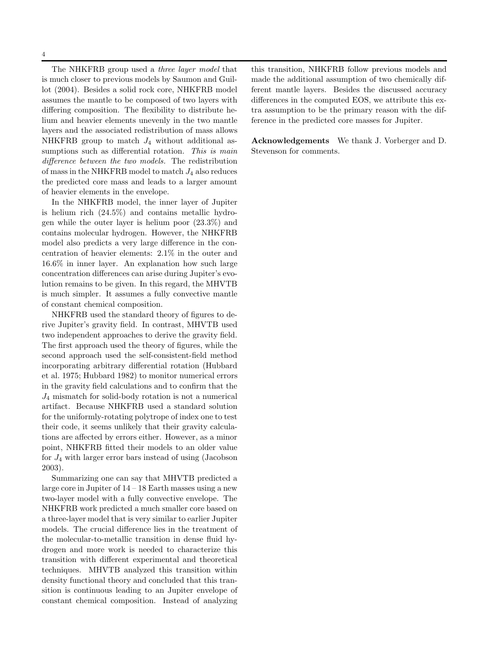The NHKFRB group used a three layer model that is much closer to previous models by Saumon and Guillot (2004). Besides a solid rock core, NHKFRB model assumes the mantle to be composed of two layers with differing composition. The flexibility to distribute helium and heavier elements unevenly in the two mantle layers and the associated redistribution of mass allows NHKFRB group to match  $J_4$  without additional assumptions such as differential rotation. This is main difference between the two models. The redistribution of mass in the NHKFRB model to match  $J_4$  also reduces the predicted core mass and leads to a larger amount of heavier elements in the envelope.

In the NHKFRB model, the inner layer of Jupiter is helium rich (24.5%) and contains metallic hydrogen while the outer layer is helium poor (23.3%) and contains molecular hydrogen. However, the NHKFRB model also predicts a very large difference in the concentration of heavier elements: 2.1% in the outer and 16.6% in inner layer. An explanation how such large concentration differences can arise during Jupiter's evolution remains to be given. In this regard, the MHVTB is much simpler. It assumes a fully convective mantle of constant chemical composition.

NHKFRB used the standard theory of figures to derive Jupiter's gravity field. In contrast, MHVTB used two independent approaches to derive the gravity field. The first approach used the theory of figures, while the second approach used the self-consistent-field method incorporating arbitrary differential rotation (Hubbard et al. 1975; Hubbard 1982) to monitor numerical errors in the gravity field calculations and to confirm that the  $J_4$  mismatch for solid-body rotation is not a numerical artifact. Because NHKFRB used a standard solution for the uniformly-rotating polytrope of index one to test their code, it seems unlikely that their gravity calculations are affected by errors either. However, as a minor point, NHKFRB fitted their models to an older value for  $J_4$  with larger error bars instead of using (Jacobson 2003).

Summarizing one can say that MHVTB predicted a large core in Jupiter of 14 – 18 Earth masses using a new two-layer model with a fully convective envelope. The NHKFRB work predicted a much smaller core based on a three-layer model that is very similar to earlier Jupiter models. The crucial difference lies in the treatment of the molecular-to-metallic transition in dense fluid hydrogen and more work is needed to characterize this transition with different experimental and theoretical techniques. MHVTB analyzed this transition within density functional theory and concluded that this transition is continuous leading to an Jupiter envelope of constant chemical composition. Instead of analyzing this transition, NHKFRB follow previous models and made the additional assumption of two chemically different mantle layers. Besides the discussed accuracy differences in the computed EOS, we attribute this extra assumption to be the primary reason with the difference in the predicted core masses for Jupiter.

Acknowledgements We thank J. Vorberger and D. Stevenson for comments.